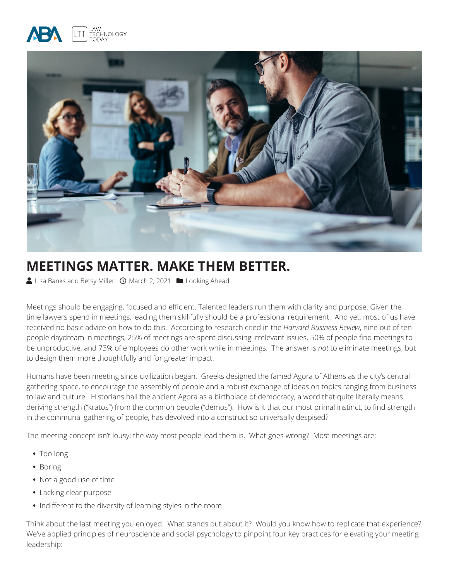



# **MEETINGS MATTER. MAKE THEM BETTER.**

Lisa Banks and Betsy Miller *Q* March 2, 2021 **Looking Ahead** 

Meetings should be engaging, focused and efficient. Talented leaders run them with clarity and purpose. Given the time lawyers spend in meetings, leading them skillfully should be a professional requirement. And yet, most of us have received no basic advice on how to do this. According to research cited in the *Harvard Business Review*, nine out of ten people daydream in meetings, 25% of meetings are spent discussing irrelevant issues, 50% of people find meetings to be unproductive, and 73% of employees do other work while in meetings. The answer is *not* to eliminate meetings, but to design them more thoughtfully and for greater impact.

Humans have been meeting since civilization began. Greeks designed the famed Agora of Athens as the city's central gathering space, to encourage the assembly of people and a robust exchange of ideas on topics ranging from business to law and culture. Historians hail the ancient Agora as a birthplace of democracy, a word that quite literally means deriving strength ("kratos") from the common people ("demos"). How is it that our most primal instinct, to find strength in the communal gathering of people, has devolved into a construct so universally despised?

The meeting concept isn't lousy; the way most people lead them is. What goes wrong? Most meetings are:

- **•** Too long
- **•** Boring
- **•** Not a good use of time
- **•** Lacking clear purpose
- **•** Indifferent to the diversity of learning styles in the room

Think about the last meeting you enjoyed. What stands out about it? Would you know how to replicate that experience? We've applied principles of neuroscience and social psychology to pinpoint four key practices for elevating your meeting leadership: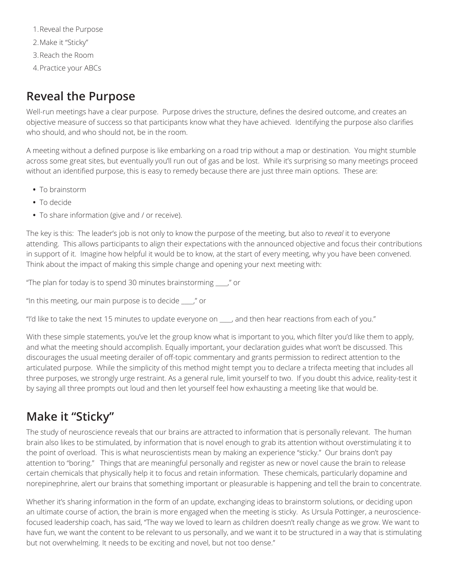1.Reveal the Purpose 2.Make it "Sticky" 3.Reach the Room 4.Practice your ABCs

#### **Reveal the Purpose**

Well-run meetings have a clear purpose. Purpose drives the structure, defines the desired outcome, and creates an objective measure of success so that participants know what they have achieved. Identifying the purpose also clarifies who should, and who should not, be in the room.

A meeting without a defined purpose is like embarking on a road trip without a map or destination. You might stumble across some great sites, but eventually you'll run out of gas and be lost. While it's surprising so many meetings proceed without an identified purpose, this is easy to remedy because there are just three main options. These are:

- **•** To brainstorm
- **•** To decide
- **•** To share information (give and / or receive).

The key is this: The leader's job is not only to know the purpose of the meeting, but also to *reveal* it to everyone attending. This allows participants to align their expectations with the announced objective and focus their contributions in support of it. Imagine how helpful it would be to know, at the start of every meeting, why you have been convened. Think about the impact of making this simple change and opening your next meeting with:

"The plan for today is to spend 30 minutes brainstorming \_\_\_\_," or

"In this meeting, our main purpose is to decide \_\_\_\_," or

"I'd like to take the next 15 minutes to update everyone on \_\_\_\_, and then hear reactions from each of you."

With these simple statements, you've let the group know what is important to you, which filter you'd like them to apply, and what the meeting should accomplish. Equally important, your declaration guides what won't be discussed. This discourages the usual meeting derailer of off-topic commentary and grants permission to redirect attention to the articulated purpose. While the simplicity of this method might tempt you to declare a trifecta meeting that includes all three purposes, we strongly urge restraint. As a general rule, limit yourself to two. If you doubt this advice, reality-test it by saying all three prompts out loud and then let yourself feel how exhausting a meeting like that would be.

### **Make it "Sticky"**

The study of neuroscience reveals that our brains are attracted to information that is personally relevant. The human brain also likes to be stimulated, by information that is novel enough to grab its attention without overstimulating it to the point of overload. This is what neuroscientists mean by making an experience "sticky." Our brains don't pay attention to "boring." Things that are meaningful personally and register as new or novel cause the brain to release certain chemicals that physically help it to focus and retain information. These chemicals, particularly dopamine and norepinephrine, alert our brains that something important or pleasurable is happening and tell the brain to concentrate.

Whether it's sharing information in the form of an update, exchanging ideas to brainstorm solutions, or deciding upon an ultimate course of action, the brain is more engaged when the meeting is sticky. As Ursula Pottinger, a neurosciencefocused leadership coach, has said, "The way we loved to learn as children doesn't really change as we grow. We want to have fun, we want the content to be relevant to us personally, and we want it to be structured in a way that is stimulating but not overwhelming. It needs to be exciting and novel, but not too dense."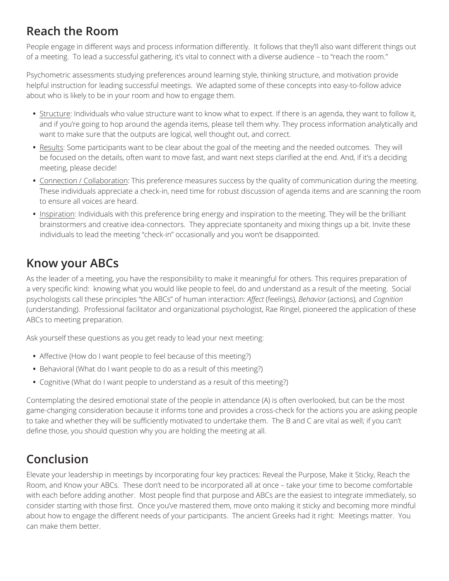#### **Reach the Room**

People engage in different ways and process information differently. It follows that they'll also want different things out of a meeting. To lead a successful gathering, it's vital to connect with a diverse audience – to "reach the room."

Psychometric assessments studying preferences around learning style, thinking structure, and motivation provide helpful instruction for leading successful meetings. We adapted some of these concepts into easy-to-follow advice about who is likely to be in your room and how to engage them.

- **•** Structure: Individuals who value structure want to know what to expect. If there is an agenda, they want to follow it, and if you're going to hop around the agenda items, please tell them why. They process information analytically and want to make sure that the outputs are logical, well thought out, and correct.
- **•** Results: Some participants want to be clear about the goal of the meeting and the needed outcomes. They will be focused on the details, often want to move fast, and want next steps clarified at the end. And, if it's a deciding meeting, please decide!
- **•** Connection / Collaboration: This preference measures success by the quality of communication during the meeting. These individuals appreciate a check-in, need time for robust discussion of agenda items and are scanning the room to ensure all voices are heard.
- **•** Inspiration: Individuals with this preference bring energy and inspiration to the meeting. They will be the brilliant brainstormers and creative idea-connectors. They appreciate spontaneity and mixing things up a bit. Invite these individuals to lead the meeting "check-in" occasionally and you won't be disappointed.

# **Know your ABCs**

As the leader of a meeting, you have the responsibility to make it meaningful for others. This requires preparation of a very specific kind: knowing what you would like people to feel, do and understand as a result of the meeting. Social psychologists call these principles "the ABCs" of human interaction: *Affect* (feelings), *Behavior* (actions), and *Cognition*  (understanding). Professional facilitator and organizational psychologist, Rae Ringel, pioneered the application of these ABCs to meeting preparation.

Ask yourself these questions as you get ready to lead your next meeting:

- **•** Affective (How do I want people to feel because of this meeting?)
- **•** Behavioral (What do I want people to do as a result of this meeting?)
- **•** Cognitive (What do I want people to understand as a result of this meeting?)

Contemplating the desired emotional state of the people in attendance (A) is often overlooked, but can be the most game-changing consideration because it informs tone and provides a cross-check for the actions you are asking people to take and whether they will be sufficiently motivated to undertake them. The B and C are vital as well; if you can't define those, you should question why you are holding the meeting at all.

# **Conclusion**

Elevate your leadership in meetings by incorporating four key practices: Reveal the Purpose, Make it Sticky, Reach the Room, and Know your ABCs. These don't need to be incorporated all at once – take your time to become comfortable with each before adding another. Most people find that purpose and ABCs are the easiest to integrate immediately, so consider starting with those first. Once you've mastered them, move onto making it sticky and becoming more mindful about how to engage the different needs of your participants. The ancient Greeks had it right: Meetings matter. You can make them better.